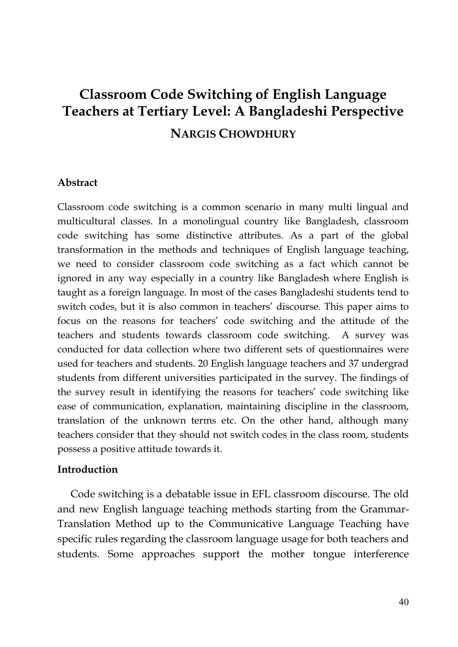# **Classroom Code Switching of English Language Teachers at Tertiary Level: A Bangladeshi Perspective NARGIS CHOWDHURY**

### **Abstract**

Classroom code switching is a common scenario in many multi lingual and multicultural classes. In a monolingual country like Bangladesh, classroom code switching has some distinctive attributes. As a part of the global transformation in the methods and techniques of English language teaching, we need to consider classroom code switching as a fact which cannot be ignored in any way especially in a country like Bangladesh where English is taught as a foreign language. In most of the cases Bangladeshi students tend to switch codes, but it is also common in teachers' discourse. This paper aims to focus on the reasons for teachers' code switching and the attitude of the teachers and students towards classroom code switching. A survey was conducted for data collection where two different sets of questionnaires were used for teachers and students. 20 English language teachers and 37 undergrad students from different universities participated in the survey. The findings of the survey result in identifying the reasons for teachers' code switching like ease of communication, explanation, maintaining discipline in the classroom, translation of the unknown terms etc. On the other hand, although many teachers consider that they should not switch codes in the class room, students possess a positive attitude towards it.

#### **Introduction**

Code switching is a debatable issue in EFL classroom discourse. The old and new English language teaching methods starting from the Grammar-Translation Method up to the Communicative Language Teaching have specific rules regarding the classroom language usage for both teachers and students. Some approaches support the mother tongue interference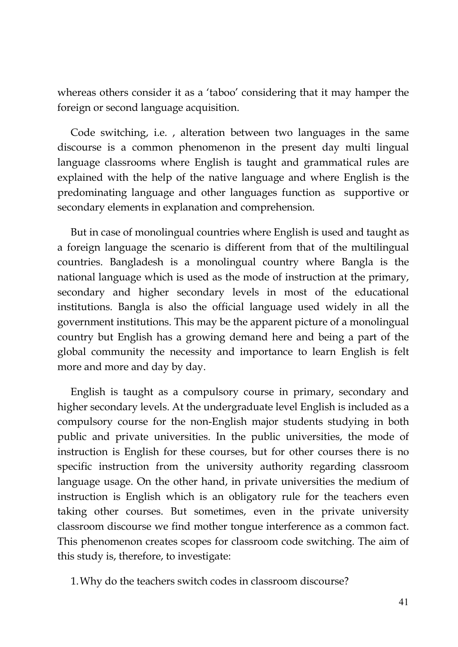whereas others consider it as a 'taboo' considering that it may hamper the foreign or second language acquisition.

Code switching, i.e. , alteration between two languages in the same discourse is a common phenomenon in the present day multi lingual language classrooms where English is taught and grammatical rules are explained with the help of the native language and where English is the predominating language and other languages function as supportive or secondary elements in explanation and comprehension.

But in case of monolingual countries where English is used and taught as a foreign language the scenario is different from that of the multilingual countries. Bangladesh is a monolingual country where Bangla is the national language which is used as the mode of instruction at the primary, secondary and higher secondary levels in most of the educational institutions. Bangla is also the official language used widely in all the government institutions. This may be the apparent picture of a monolingual country but English has a growing demand here and being a part of the global community the necessity and importance to learn English is felt more and more and day by day.

English is taught as a compulsory course in primary, secondary and higher secondary levels. At the undergraduate level English is included as a compulsory course for the non-English major students studying in both public and private universities. In the public universities, the mode of instruction is English for these courses, but for other courses there is no specific instruction from the university authority regarding classroom language usage. On the other hand, in private universities the medium of instruction is English which is an obligatory rule for the teachers even taking other courses. But sometimes, even in the private university classroom discourse we find mother tongue interference as a common fact. This phenomenon creates scopes for classroom code switching. The aim of this study is, therefore, to investigate:

1.Why do the teachers switch codes in classroom discourse?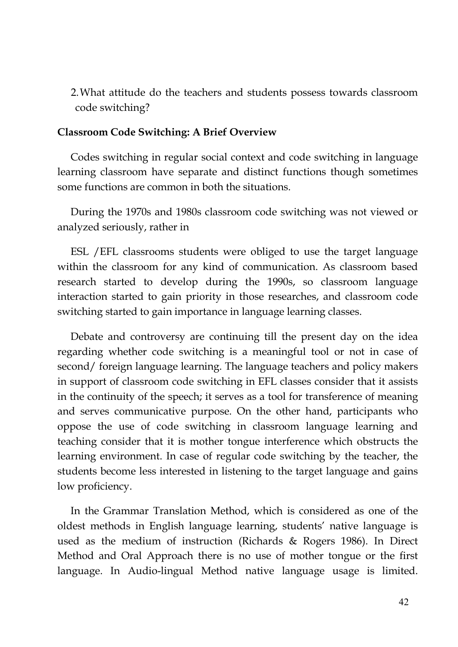2.What attitude do the teachers and students possess towards classroom code switching?

#### **Classroom Code Switching: A Brief Overview**

Codes switching in regular social context and code switching in language learning classroom have separate and distinct functions though sometimes some functions are common in both the situations.

During the 1970s and 1980s classroom code switching was not viewed or analyzed seriously, rather in

ESL /EFL classrooms students were obliged to use the target language within the classroom for any kind of communication. As classroom based research started to develop during the 1990s, so classroom language interaction started to gain priority in those researches, and classroom code switching started to gain importance in language learning classes.

Debate and controversy are continuing till the present day on the idea regarding whether code switching is a meaningful tool or not in case of second/ foreign language learning. The language teachers and policy makers in support of classroom code switching in EFL classes consider that it assists in the continuity of the speech; it serves as a tool for transference of meaning and serves communicative purpose. On the other hand, participants who oppose the use of code switching in classroom language learning and teaching consider that it is mother tongue interference which obstructs the learning environment. In case of regular code switching by the teacher, the students become less interested in listening to the target language and gains low proficiency.

In the Grammar Translation Method, which is considered as one of the oldest methods in English language learning, students' native language is used as the medium of instruction (Richards & Rogers 1986). In Direct Method and Oral Approach there is no use of mother tongue or the first language. In Audio-lingual Method native language usage is limited.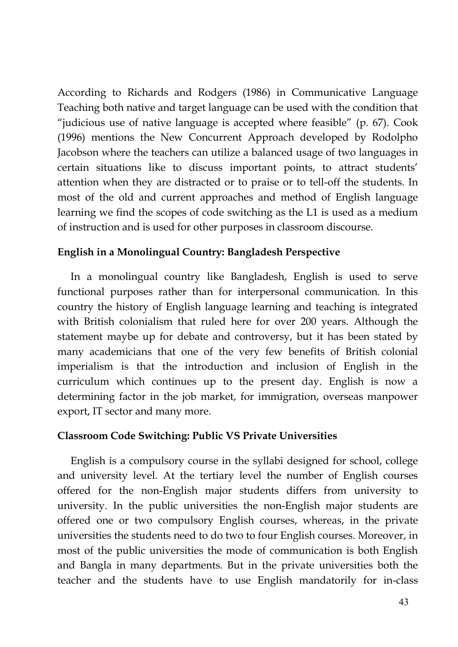According to Richards and Rodgers (1986) in Communicative Language Teaching both native and target language can be used with the condition that "judicious use of native language is accepted where feasible" (p. 67). Cook (1996) mentions the New Concurrent Approach developed by Rodolpho Jacobson where the teachers can utilize a balanced usage of two languages in certain situations like to discuss important points, to attract students' attention when they are distracted or to praise or to tell-off the students. In most of the old and current approaches and method of English language learning we find the scopes of code switching as the L1 is used as a medium of instruction and is used for other purposes in classroom discourse.

### **English in a Monolingual Country: Bangladesh Perspective**

In a monolingual country like Bangladesh, English is used to serve functional purposes rather than for interpersonal communication. In this country the history of English language learning and teaching is integrated with British colonialism that ruled here for over 200 years. Although the statement maybe up for debate and controversy, but it has been stated by many academicians that one of the very few benefits of British colonial imperialism is that the introduction and inclusion of English in the curriculum which continues up to the present day. English is now a determining factor in the job market, for immigration, overseas manpower export, IT sector and many more.

### **Classroom Code Switching: Public VS Private Universities**

English is a compulsory course in the syllabi designed for school, college and university level. At the tertiary level the number of English courses offered for the non-English major students differs from university to university. In the public universities the non-English major students are offered one or two compulsory English courses, whereas, in the private universities the students need to do two to four English courses. Moreover, in most of the public universities the mode of communication is both English and Bangla in many departments. But in the private universities both the teacher and the students have to use English mandatorily for in-class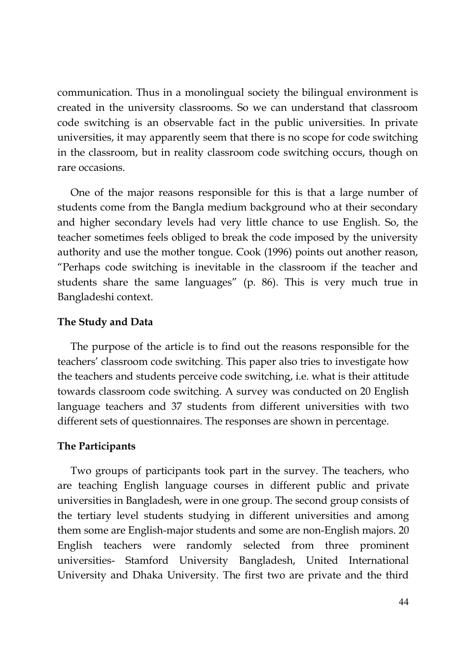communication. Thus in a monolingual society the bilingual environment is created in the university classrooms. So we can understand that classroom code switching is an observable fact in the public universities. In private universities, it may apparently seem that there is no scope for code switching in the classroom, but in reality classroom code switching occurs, though on rare occasions.

One of the major reasons responsible for this is that a large number of students come from the Bangla medium background who at their secondary and higher secondary levels had very little chance to use English. So, the teacher sometimes feels obliged to break the code imposed by the university authority and use the mother tongue. Cook (1996) points out another reason, "Perhaps code switching is inevitable in the classroom if the teacher and students share the same languages" (p. 86). This is very much true in Bangladeshi context.

### **The Study and Data**

The purpose of the article is to find out the reasons responsible for the teachers' classroom code switching. This paper also tries to investigate how the teachers and students perceive code switching, i.e. what is their attitude towards classroom code switching. A survey was conducted on 20 English language teachers and 37 students from different universities with two different sets of questionnaires. The responses are shown in percentage.

### **The Participants**

Two groups of participants took part in the survey. The teachers, who are teaching English language courses in different public and private universities in Bangladesh, were in one group. The second group consists of the tertiary level students studying in different universities and among them some are English-major students and some are non-English majors. 20 English teachers were randomly selected from three prominent universities- Stamford University Bangladesh, United International University and Dhaka University. The first two are private and the third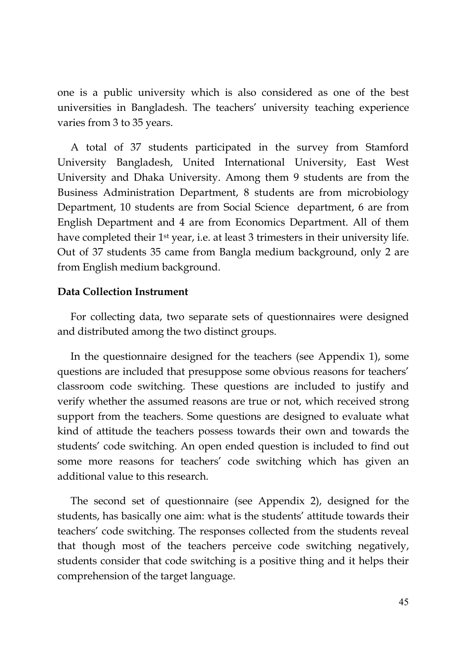one is a public university which is also considered as one of the best universities in Bangladesh. The teachers' university teaching experience varies from 3 to 35 years.

A total of 37 students participated in the survey from Stamford University Bangladesh, United International University, East West University and Dhaka University. Among them 9 students are from the Business Administration Department, 8 students are from microbiology Department, 10 students are from Social Science department, 6 are from English Department and 4 are from Economics Department. All of them have completed their 1<sup>st</sup> year, i.e. at least 3 trimesters in their university life. Out of 37 students 35 came from Bangla medium background, only 2 are from English medium background.

### **Data Collection Instrument**

For collecting data, two separate sets of questionnaires were designed and distributed among the two distinct groups.

In the questionnaire designed for the teachers (see Appendix 1), some questions are included that presuppose some obvious reasons for teachers' classroom code switching. These questions are included to justify and verify whether the assumed reasons are true or not, which received strong support from the teachers. Some questions are designed to evaluate what kind of attitude the teachers possess towards their own and towards the students' code switching. An open ended question is included to find out some more reasons for teachers' code switching which has given an additional value to this research.

The second set of questionnaire (see Appendix 2), designed for the students, has basically one aim: what is the students' attitude towards their teachers' code switching. The responses collected from the students reveal that though most of the teachers perceive code switching negatively, students consider that code switching is a positive thing and it helps their comprehension of the target language.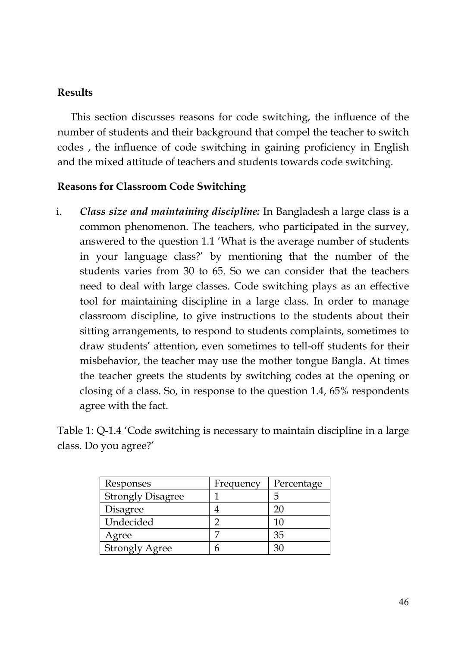### **Results**

This section discusses reasons for code switching, the influence of the number of students and their background that compel the teacher to switch codes , the influence of code switching in gaining proficiency in English and the mixed attitude of teachers and students towards code switching.

### **Reasons for Classroom Code Switching**

i. *Class size and maintaining discipline:* In Bangladesh a large class is a common phenomenon. The teachers, who participated in the survey, answered to the question 1.1 'What is the average number of students in your language class?' by mentioning that the number of the students varies from 30 to 65. So we can consider that the teachers need to deal with large classes. Code switching plays as an effective tool for maintaining discipline in a large class. In order to manage classroom discipline, to give instructions to the students about their sitting arrangements, to respond to students complaints, sometimes to draw students' attention, even sometimes to tell-off students for their misbehavior, the teacher may use the mother tongue Bangla. At times the teacher greets the students by switching codes at the opening or closing of a class. So, in response to the question 1.4, 65% respondents agree with the fact.

Table 1: Q-1.4 'Code switching is necessary to maintain discipline in a large class. Do you agree?'

| Responses                | Frequency | Percentage |
|--------------------------|-----------|------------|
| <b>Strongly Disagree</b> |           | .h         |
| Disagree                 |           | 20         |
| Undecided                |           | 10         |
| Agree                    |           | 35         |
| <b>Strongly Agree</b>    | h         | 30         |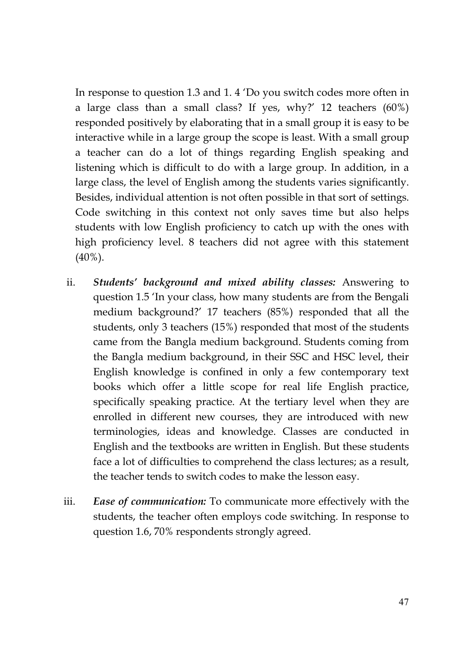In response to question 1.3 and 1. 4 'Do you switch codes more often in a large class than a small class? If yes, why?' 12 teachers (60%) responded positively by elaborating that in a small group it is easy to be interactive while in a large group the scope is least. With a small group a teacher can do a lot of things regarding English speaking and listening which is difficult to do with a large group. In addition, in a large class, the level of English among the students varies significantly. Besides, individual attention is not often possible in that sort of settings. Code switching in this context not only saves time but also helps students with low English proficiency to catch up with the ones with high proficiency level. 8 teachers did not agree with this statement (40%).

- ii. *Students' background and mixed ability classes:* Answering to question 1.5 'In your class, how many students are from the Bengali medium background?' 17 teachers (85%) responded that all the students, only 3 teachers (15%) responded that most of the students came from the Bangla medium background. Students coming from the Bangla medium background, in their SSC and HSC level, their English knowledge is confined in only a few contemporary text books which offer a little scope for real life English practice, specifically speaking practice. At the tertiary level when they are enrolled in different new courses, they are introduced with new terminologies, ideas and knowledge. Classes are conducted in English and the textbooks are written in English. But these students face a lot of difficulties to comprehend the class lectures; as a result, the teacher tends to switch codes to make the lesson easy.
- iii. *Ease of communication:* To communicate more effectively with the students, the teacher often employs code switching. In response to question 1.6, 70% respondents strongly agreed.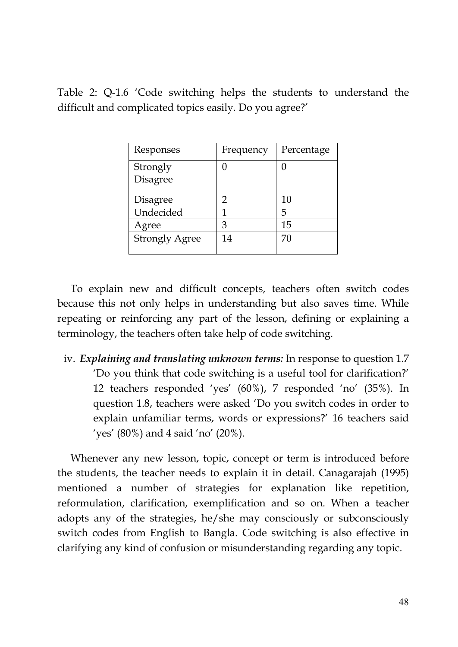Table 2: Q-1.6 'Code switching helps the students to understand the difficult and complicated topics easily. Do you agree?'

| Responses             | Frequency | Percentage |
|-----------------------|-----------|------------|
| Strongly<br>Disagree  | 0         |            |
| Disagree              | 2         | 10         |
| Undecided             | 1         | 5          |
| Agree                 | З         | 15         |
| <b>Strongly Agree</b> | 14        | 70         |

To explain new and difficult concepts, teachers often switch codes because this not only helps in understanding but also saves time. While repeating or reinforcing any part of the lesson, defining or explaining a terminology, the teachers often take help of code switching.

iv. *Explaining and translating unknown terms:* In response to question 1.7 'Do you think that code switching is a useful tool for clarification?' 12 teachers responded 'yes' (60%), 7 responded 'no' (35%). In question 1.8, teachers were asked 'Do you switch codes in order to explain unfamiliar terms, words or expressions?' 16 teachers said 'yes' (80%) and 4 said 'no' (20%).

Whenever any new lesson, topic, concept or term is introduced before the students, the teacher needs to explain it in detail. Canagarajah (1995) mentioned a number of strategies for explanation like repetition, reformulation, clarification, exemplification and so on. When a teacher adopts any of the strategies, he/she may consciously or subconsciously switch codes from English to Bangla. Code switching is also effective in clarifying any kind of confusion or misunderstanding regarding any topic.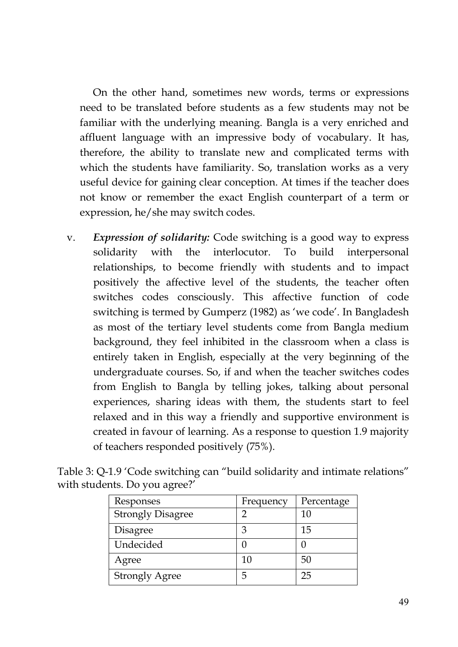On the other hand, sometimes new words, terms or expressions need to be translated before students as a few students may not be familiar with the underlying meaning. Bangla is a very enriched and affluent language with an impressive body of vocabulary. It has, therefore, the ability to translate new and complicated terms with which the students have familiarity. So, translation works as a very useful device for gaining clear conception. At times if the teacher does not know or remember the exact English counterpart of a term or expression, he/she may switch codes.

v. *Expression of solidarity:* Code switching is a good way to express solidarity with the interlocutor. To build interpersonal relationships, to become friendly with students and to impact positively the affective level of the students, the teacher often switches codes consciously. This affective function of code switching is termed by Gumperz (1982) as 'we code'. In Bangladesh as most of the tertiary level students come from Bangla medium background, they feel inhibited in the classroom when a class is entirely taken in English, especially at the very beginning of the undergraduate courses. So, if and when the teacher switches codes from English to Bangla by telling jokes, talking about personal experiences, sharing ideas with them, the students start to feel relaxed and in this way a friendly and supportive environment is created in favour of learning. As a response to question 1.9 majority of teachers responded positively (75%).

| Responses                | Frequency | Percentage |
|--------------------------|-----------|------------|
| <b>Strongly Disagree</b> |           | 10         |
| Disagree                 | З         | 15         |
| Undecided                |           |            |
| Agree                    | 10        | 50         |
| <b>Strongly Agree</b>    | 5         | 25         |

| Table 3: Q-1.9 'Code switching can "build solidarity and intimate relations" |  |  |
|------------------------------------------------------------------------------|--|--|
| with students. Do you agree?'                                                |  |  |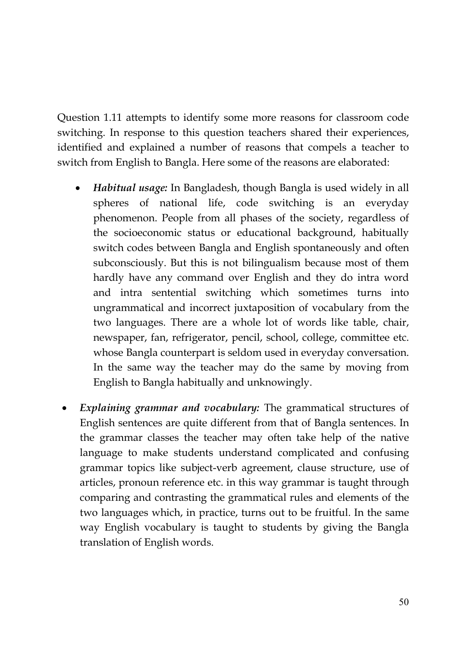Question 1.11 attempts to identify some more reasons for classroom code switching. In response to this question teachers shared their experiences, identified and explained a number of reasons that compels a teacher to switch from English to Bangla. Here some of the reasons are elaborated:

- *Habitual usage:* In Bangladesh, though Bangla is used widely in all spheres of national life, code switching is an everyday phenomenon. People from all phases of the society, regardless of the socioeconomic status or educational background, habitually switch codes between Bangla and English spontaneously and often subconsciously. But this is not bilingualism because most of them hardly have any command over English and they do intra word and intra sentential switching which sometimes turns into ungrammatical and incorrect juxtaposition of vocabulary from the two languages. There are a whole lot of words like table, chair, newspaper, fan, refrigerator, pencil, school, college, committee etc. whose Bangla counterpart is seldom used in everyday conversation. In the same way the teacher may do the same by moving from English to Bangla habitually and unknowingly.
- *Explaining grammar and vocabulary:* The grammatical structures of English sentences are quite different from that of Bangla sentences. In the grammar classes the teacher may often take help of the native language to make students understand complicated and confusing grammar topics like subject-verb agreement, clause structure, use of articles, pronoun reference etc. in this way grammar is taught through comparing and contrasting the grammatical rules and elements of the two languages which, in practice, turns out to be fruitful. In the same way English vocabulary is taught to students by giving the Bangla translation of English words.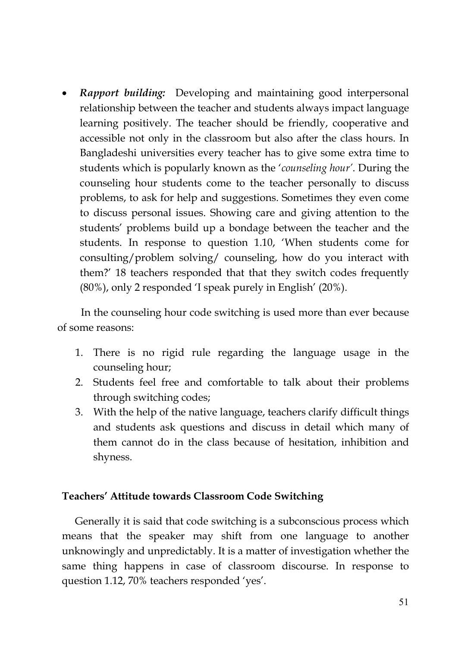*Rapport building:* Developing and maintaining good interpersonal relationship between the teacher and students always impact language learning positively. The teacher should be friendly, cooperative and accessible not only in the classroom but also after the class hours. In Bangladeshi universities every teacher has to give some extra time to students which is popularly known as the '*counseling hour'*. During the counseling hour students come to the teacher personally to discuss problems, to ask for help and suggestions. Sometimes they even come to discuss personal issues. Showing care and giving attention to the students' problems build up a bondage between the teacher and the students. In response to question 1.10, 'When students come for consulting/problem solving/ counseling, how do you interact with them?' 18 teachers responded that that they switch codes frequently (80%), only 2 responded 'I speak purely in English' (20%).

In the counseling hour code switching is used more than ever because of some reasons:

- 1. There is no rigid rule regarding the language usage in the counseling hour;
- 2. Students feel free and comfortable to talk about their problems through switching codes;
- 3. With the help of the native language, teachers clarify difficult things and students ask questions and discuss in detail which many of them cannot do in the class because of hesitation, inhibition and shyness.

### **Teachers' Attitude towards Classroom Code Switching**

Generally it is said that code switching is a subconscious process which means that the speaker may shift from one language to another unknowingly and unpredictably. It is a matter of investigation whether the same thing happens in case of classroom discourse. In response to question 1.12, 70% teachers responded 'yes'.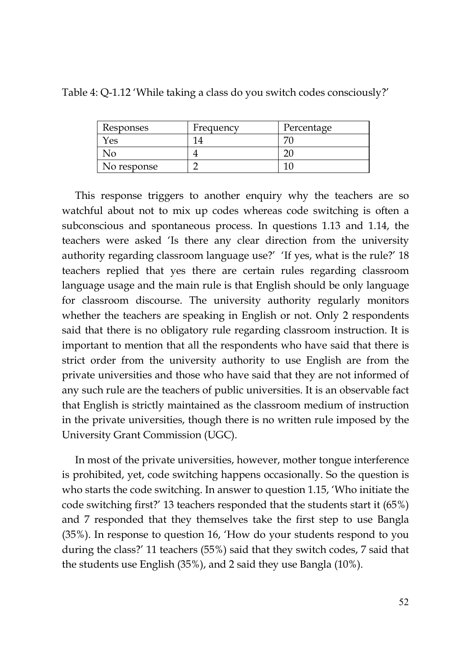| Responses   | Frequency | Percentage |
|-------------|-----------|------------|
| res         |           |            |
| งด          |           |            |
| No response |           |            |

Table 4: Q-1.12 'While taking a class do you switch codes consciously?'

This response triggers to another enquiry why the teachers are so watchful about not to mix up codes whereas code switching is often a subconscious and spontaneous process. In questions 1.13 and 1.14, the teachers were asked 'Is there any clear direction from the university authority regarding classroom language use?' 'If yes, what is the rule?' 18 teachers replied that yes there are certain rules regarding classroom language usage and the main rule is that English should be only language for classroom discourse. The university authority regularly monitors whether the teachers are speaking in English or not. Only 2 respondents said that there is no obligatory rule regarding classroom instruction. It is important to mention that all the respondents who have said that there is strict order from the university authority to use English are from the private universities and those who have said that they are not informed of any such rule are the teachers of public universities. It is an observable fact that English is strictly maintained as the classroom medium of instruction in the private universities, though there is no written rule imposed by the University Grant Commission (UGC).

In most of the private universities, however, mother tongue interference is prohibited, yet, code switching happens occasionally. So the question is who starts the code switching. In answer to question 1.15, 'Who initiate the code switching first?' 13 teachers responded that the students start it (65%) and 7 responded that they themselves take the first step to use Bangla (35%). In response to question 16, 'How do your students respond to you during the class?' 11 teachers (55%) said that they switch codes, 7 said that the students use English (35%), and 2 said they use Bangla (10%).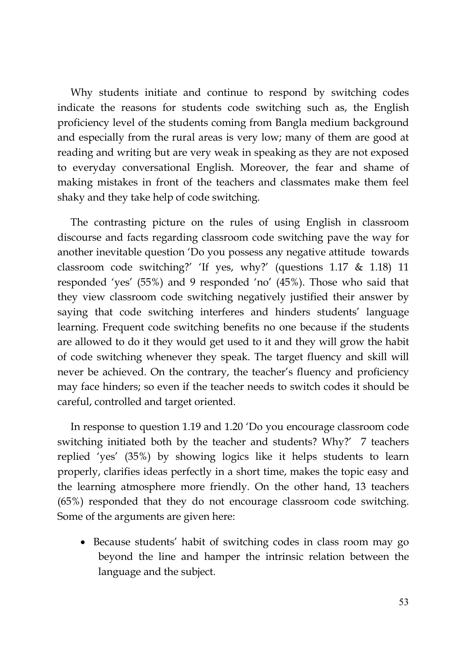Why students initiate and continue to respond by switching codes indicate the reasons for students code switching such as, the English proficiency level of the students coming from Bangla medium background and especially from the rural areas is very low; many of them are good at reading and writing but are very weak in speaking as they are not exposed to everyday conversational English. Moreover, the fear and shame of making mistakes in front of the teachers and classmates make them feel shaky and they take help of code switching.

The contrasting picture on the rules of using English in classroom discourse and facts regarding classroom code switching pave the way for another inevitable question 'Do you possess any negative attitude towards classroom code switching?' 'If yes, why?' (questions 1.17 & 1.18) 11 responded 'yes' (55%) and 9 responded 'no' (45%). Those who said that they view classroom code switching negatively justified their answer by saying that code switching interferes and hinders students' language learning. Frequent code switching benefits no one because if the students are allowed to do it they would get used to it and they will grow the habit of code switching whenever they speak. The target fluency and skill will never be achieved. On the contrary, the teacher's fluency and proficiency may face hinders; so even if the teacher needs to switch codes it should be careful, controlled and target oriented.

In response to question 1.19 and 1.20 'Do you encourage classroom code switching initiated both by the teacher and students? Why?' 7 teachers replied 'yes' (35%) by showing logics like it helps students to learn properly, clarifies ideas perfectly in a short time, makes the topic easy and the learning atmosphere more friendly. On the other hand, 13 teachers (65%) responded that they do not encourage classroom code switching. Some of the arguments are given here:

• Because students' habit of switching codes in class room may go beyond the line and hamper the intrinsic relation between the language and the subject.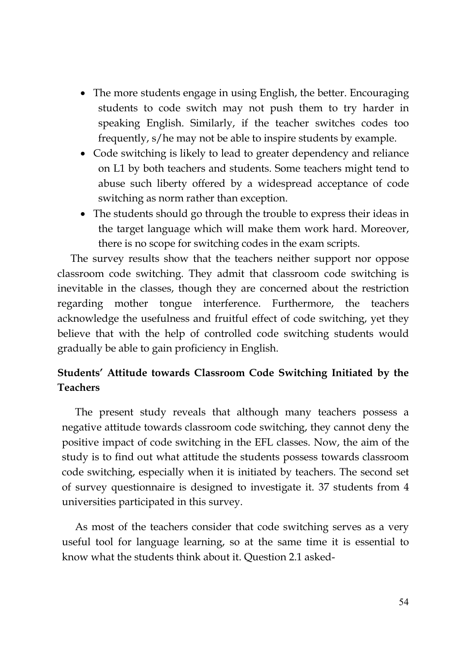- The more students engage in using English, the better. Encouraging students to code switch may not push them to try harder in speaking English. Similarly, if the teacher switches codes too frequently, s/he may not be able to inspire students by example.
- Code switching is likely to lead to greater dependency and reliance on L1 by both teachers and students. Some teachers might tend to abuse such liberty offered by a widespread acceptance of code switching as norm rather than exception.
- The students should go through the trouble to express their ideas in the target language which will make them work hard. Moreover, there is no scope for switching codes in the exam scripts.

The survey results show that the teachers neither support nor oppose classroom code switching. They admit that classroom code switching is inevitable in the classes, though they are concerned about the restriction regarding mother tongue interference. Furthermore, the teachers acknowledge the usefulness and fruitful effect of code switching, yet they believe that with the help of controlled code switching students would gradually be able to gain proficiency in English.

## **Students' Attitude towards Classroom Code Switching Initiated by the Teachers**

The present study reveals that although many teachers possess a negative attitude towards classroom code switching, they cannot deny the positive impact of code switching in the EFL classes. Now, the aim of the study is to find out what attitude the students possess towards classroom code switching, especially when it is initiated by teachers. The second set of survey questionnaire is designed to investigate it. 37 students from 4 universities participated in this survey.

As most of the teachers consider that code switching serves as a very useful tool for language learning, so at the same time it is essential to know what the students think about it. Question 2.1 asked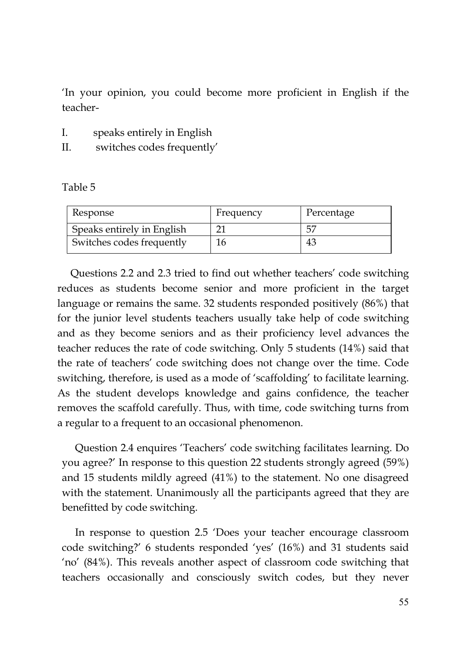'In your opinion, you could become more proficient in English if the teacher-

- I. speaks entirely in English
- II. switches codes frequently'

Table 5

| Response                   | Frequency | Percentage |
|----------------------------|-----------|------------|
| Speaks entirely in English |           | 55         |
| Switches codes frequently  |           | 43         |

Questions 2.2 and 2.3 tried to find out whether teachers' code switching reduces as students become senior and more proficient in the target language or remains the same. 32 students responded positively (86%) that for the junior level students teachers usually take help of code switching and as they become seniors and as their proficiency level advances the teacher reduces the rate of code switching. Only 5 students (14%) said that the rate of teachers' code switching does not change over the time. Code switching, therefore, is used as a mode of 'scaffolding' to facilitate learning. As the student develops knowledge and gains confidence, the teacher removes the scaffold carefully. Thus, with time, code switching turns from a regular to a frequent to an occasional phenomenon.

Question 2.4 enquires 'Teachers' code switching facilitates learning. Do you agree?' In response to this question 22 students strongly agreed (59%) and 15 students mildly agreed (41%) to the statement. No one disagreed with the statement. Unanimously all the participants agreed that they are benefitted by code switching.

In response to question 2.5 'Does your teacher encourage classroom code switching?' 6 students responded 'yes' (16%) and 31 students said 'no' (84%). This reveals another aspect of classroom code switching that teachers occasionally and consciously switch codes, but they never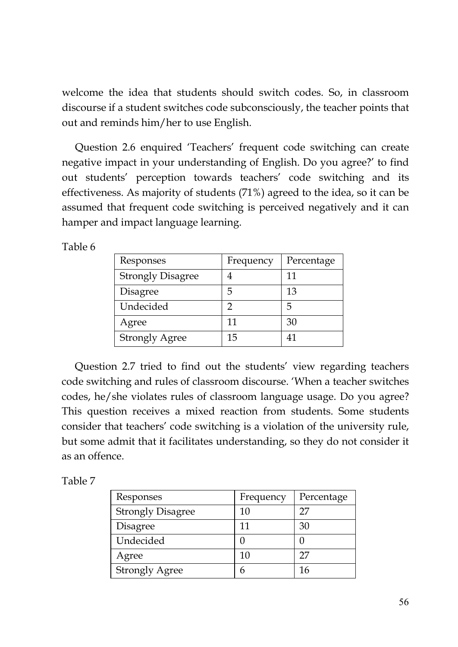welcome the idea that students should switch codes. So, in classroom discourse if a student switches code subconsciously, the teacher points that out and reminds him/her to use English.

Question 2.6 enquired 'Teachers' frequent code switching can create negative impact in your understanding of English. Do you agree?' to find out students' perception towards teachers' code switching and its effectiveness. As majority of students (71%) agreed to the idea, so it can be assumed that frequent code switching is perceived negatively and it can hamper and impact language learning.

Table 6

| Responses                | Frequency | Percentage |
|--------------------------|-----------|------------|
| <b>Strongly Disagree</b> |           | 11         |
| Disagree                 | 5         | 13         |
| Undecided                | っ         | 5          |
| Agree                    | 11        | 30         |
| <b>Strongly Agree</b>    | 15        | 41         |

Question 2.7 tried to find out the students' view regarding teachers code switching and rules of classroom discourse. 'When a teacher switches codes, he/she violates rules of classroom language usage. Do you agree? This question receives a mixed reaction from students. Some students consider that teachers' code switching is a violation of the university rule, but some admit that it facilitates understanding, so they do not consider it as an offence.

Table 7

| Responses                | Frequency | Percentage |
|--------------------------|-----------|------------|
| <b>Strongly Disagree</b> | 10        | 27         |
| Disagree                 | 11        | 30         |
| Undecided                |           |            |
| Agree                    | 10        | 27         |
| <b>Strongly Agree</b>    | h         | 16         |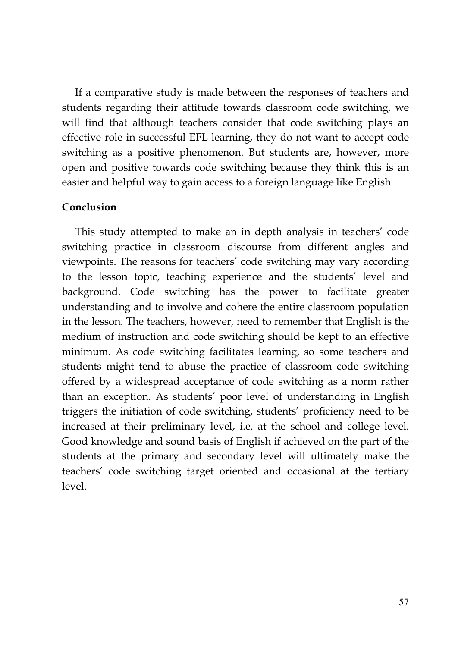If a comparative study is made between the responses of teachers and students regarding their attitude towards classroom code switching, we will find that although teachers consider that code switching plays an effective role in successful EFL learning, they do not want to accept code switching as a positive phenomenon. But students are, however, more open and positive towards code switching because they think this is an easier and helpful way to gain access to a foreign language like English.

### **Conclusion**

This study attempted to make an in depth analysis in teachers' code switching practice in classroom discourse from different angles and viewpoints. The reasons for teachers' code switching may vary according to the lesson topic, teaching experience and the students' level and background. Code switching has the power to facilitate greater understanding and to involve and cohere the entire classroom population in the lesson. The teachers, however, need to remember that English is the medium of instruction and code switching should be kept to an effective minimum. As code switching facilitates learning, so some teachers and students might tend to abuse the practice of classroom code switching offered by a widespread acceptance of code switching as a norm rather than an exception. As students' poor level of understanding in English triggers the initiation of code switching, students' proficiency need to be increased at their preliminary level, i.e. at the school and college level. Good knowledge and sound basis of English if achieved on the part of the students at the primary and secondary level will ultimately make the teachers' code switching target oriented and occasional at the tertiary level.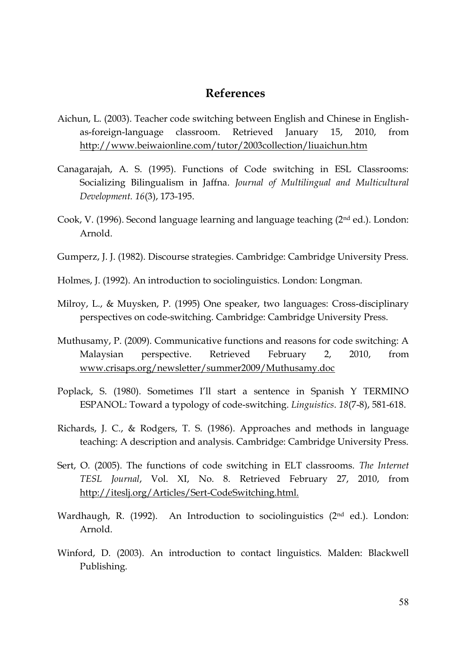### **References**

- Aichun, L. (2003). Teacher code switching between English and Chinese in Englishas-foreign-language classroom. Retrieved January 15, 2010, from <http://www.beiwaionline.com/tutor/2003collection/liuaichun.htm>
- Canagarajah, A. S. (1995). Functions of Code switching in ESL Classrooms: Socializing Bilingualism in Jaffna. *Journal of Multilingual and Multicultural Development. 16*(3), 173-195.
- Cook, V. (1996). Second language learning and language teaching (2nd ed.). London: Arnold.
- Gumperz, J. J. (1982). Discourse strategies. Cambridge: Cambridge University Press.
- Holmes, J. (1992). An introduction to sociolinguistics. London: Longman.
- Milroy, L., & Muysken, P. (1995) One speaker, two languages: Cross-disciplinary perspectives on code-switching. Cambridge: Cambridge University Press.
- Muthusamy, P. (2009). Communicative functions and reasons for code switching: A Malaysian perspective. Retrieved February 2, 2010, from <www.crisaps.org/newsletter/summer2009/Muthusamy.doc>
- Poplack, S. (1980). Sometimes I'll start a sentence in Spanish Y TERMINO ESPANOL: Toward a typology of code-switching. *Linguistics*. *18*(7-8), 581-618.
- Richards, J. C., & Rodgers, T. S. (1986). Approaches and methods in language teaching: A description and analysis. Cambridge: Cambridge University Press.
- Sert, O. (2005). The functions of code switching in ELT classrooms. *The Internet TESL Journal*, Vol. XI, No. 8. Retrieved February 27, 2010, from [http://iteslj.org/Articles/Sert-CodeSwitching.html.](http://iteslj.org/Articles/Sert-CodeSwitching.html)
- Wardhaugh, R. (1992). An Introduction to sociolinguistics  $(2<sup>nd</sup> ed.)$ . London: Arnold.
- Winford, D. (2003). An introduction to contact linguistics*.* Malden: Blackwell Publishing.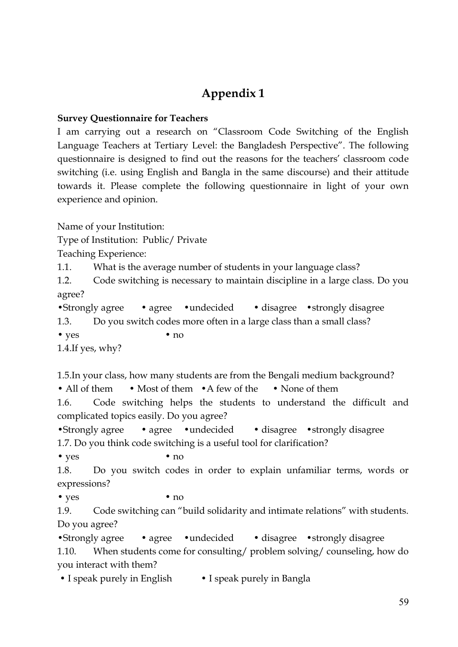# **Appendix 1**

### **Survey Questionnaire for Teachers**

I am carrying out a research on "Classroom Code Switching of the English Language Teachers at Tertiary Level: the Bangladesh Perspective". The following questionnaire is designed to find out the reasons for the teachers' classroom code switching (i.e. using English and Bangla in the same discourse) and their attitude towards it. Please complete the following questionnaire in light of your own experience and opinion.

Name of your Institution:

Type of Institution: Public/ Private

Teaching Experience:

1.1. What is the average number of students in your language class?

1.2. Code switching is necessary to maintain discipline in a large class. Do you agree?

```
•Strongly agree • agree • undecided • disagree • strongly disagree
```
1.3. Do you switch codes more often in a large class than a small class?

• yes • no

1.4.If yes, why?

1.5.In your class, how many students are from the Bengali medium background?

• All of them • Most of them • A few of the • None of them

1.6. Code switching helps the students to understand the difficult and complicated topics easily. Do you agree?

•Strongly agree • agree • undecided • disagree • strongly disagree 1.7. Do you think code switching is a useful tool for clarification?

• yes • no

1.8. Do you switch codes in order to explain unfamiliar terms, words or expressions?

• yes • no

1.9. Code switching can "build solidarity and intimate relations" with students. Do you agree?

•Strongly agree • agree • undecided • disagree • strongly disagree 1.10. When students come for consulting/ problem solving/ counseling, how do you interact with them?

• I speak purely in English • I speak purely in Bangla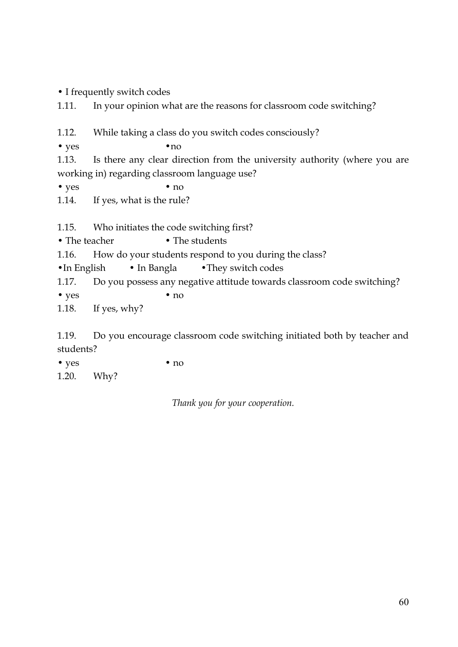• I frequently switch codes

1.11. In your opinion what are the reasons for classroom code switching?

1.12. While taking a class do you switch codes consciously?

• yes • no

1.13. Is there any clear direction from the university authority (where you are working in) regarding classroom language use?

• yes • no

1.14. If yes, what is the rule?

1.15. Who initiates the code switching first?

• The teacher • The students

1.16. How do your students respond to you during the class?

•In English • In Bangla • They switch codes

1.17. Do you possess any negative attitude towards classroom code switching?

• yes • no

1.18. If yes, why?

1.19. Do you encourage classroom code switching initiated both by teacher and students?

• yes • no 1.20. Why?

*Thank you for your cooperation.*